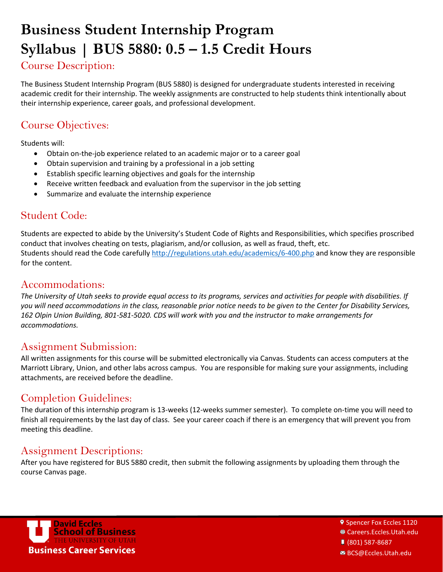# **Business Student Internship Program Syllabus | BUS 5880: 0.5 – 1.5 Credit Hours**

# Course Description:

The Business Student Internship Program (BUS 5880) is designed for undergraduate students interested in receiving academic credit for their internship. The weekly assignments are constructed to help students think intentionally about their internship experience, career goals, and professional development.

## Course Objectives:

Students will:

- Obtain on-the-job experience related to an academic major or to a career goal
- Obtain supervision and training by a professional in a job setting
- Establish specific learning objectives and goals for the internship
- Receive written feedback and evaluation from the supervisor in the job setting
- Summarize and evaluate the internship experience

### Student Code:

Students are expected to abide by the University's Student Code of Rights and Responsibilities, which specifies proscribed conduct that involves cheating on tests, plagiarism, and/or collusion, as well as fraud, theft, etc. Students should read the Code carefully<http://regulations.utah.edu/academics/6-400.php> and know they are responsible for the content.

#### Accommodations:

*The University of Utah seeks to provide equal access to its programs, services and activities for people with disabilities. If you will need accommodations in the class, reasonable prior notice needs to be given to the Center for Disability Services, 162 Olpin Union Building, 801-581-5020. CDS will work with you and the instructor to make arrangements for accommodations.*

### Assignment Submission:

All written assignments for this course will be submitted electronically via Canvas. Students can access computers at the Marriott Library, Union, and other labs across campus. You are responsible for making sure your assignments, including attachments, are received before the deadline.

## Completion Guidelines:

The duration of this internship program is 13-weeks (12-weeks summer semester). To complete on-time you will need to finish all requirements by the last day of class. See your career coach if there is an emergency that will prevent you from meeting this deadline.

### Assignment Descriptions:

After you have registered for BUS 5880 credit, then submit the following assignments by uploading them through the course Canvas page.



**9 Spencer Fox Eccles 1120** 

1 Careers.Eccles.Utah.edu

(801) 587-8687

BCS@Eccles.Utah.edu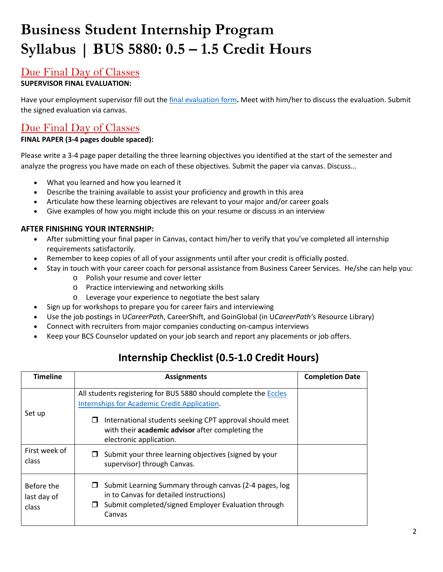# **Business Student Internship Program Syllabus | BUS 5880: 0.5 – 1.5 Credit Hours**

### Due Final Day of Classes

#### **SUPERVISOR FINAL EVALUATION:**

Have your employment supervisor fill out the [final evaluation form](http://eccles.utah.edu/wp-content/uploads/2016/05/BSIP-Final-Evaluation-Form.pdf)**.** Meet with him/her to discuss the evaluation. Submit the signed evaluation via canvas.

## Due Final Day of Classes

#### **FINAL PAPER (3-4 pages double spaced):**

Please write a 3-4 page paper detailing the three learning objectives you identified at the start of the semester and analyze the progress you have made on each of these objectives. Submit the paper via canvas. Discuss...

- What you learned and how you learned it
- Describe the training available to assist your proficiency and growth in this area
- Articulate how these learning objectives are relevant to your major and/or career goals
- Give examples of how you might include this on your resume or discuss in an interview

#### **AFTER FINISHING YOUR INTERNSHIP:**

- After submitting your final paper in Canvas, contact him/her to verify that you've completed all internship requirements satisfactorily.
- Remember to keep copies of all of your assignments until after your credit is officially posted.
- Stay in touch with your career coach for personal assistance from Business Career Services. He/she can help you:
	- o Polish your resume and cover letter
	- o Practice interviewing and networking skills
	- o Leverage your experience to negotiate the best salary
- Sign up for workshops to prepare you for career fairs and interviewing
- Use the job postings in U*CareerPath*, CareerShift, and GoinGlobal (in U*CareerPath'*s Resource Library)
- Connect with recruiters from major companies conducting on-campus interviews
- Keep your BCS Counselor updated on your job search and report any placements or job offers.

## **Internship Checklist (0.5-1.0 Credit Hours)**

| Timeline                           | <b>Assignments</b>                                                                                                                                                                                                                   | <b>Completion Date</b> |
|------------------------------------|--------------------------------------------------------------------------------------------------------------------------------------------------------------------------------------------------------------------------------------|------------------------|
| Set up                             | All students registering for BUS 5880 should complete the Eccles<br>Internships for Academic Credit Application.<br>International students seeking CPT approval should meet<br>□<br>with their academic advisor after completing the |                        |
| First week of<br>class             | electronic application.<br>Submit your three learning objectives (signed by your<br>supervisor) through Canvas.                                                                                                                      |                        |
| Before the<br>last day of<br>class | Submit Learning Summary through canvas (2-4 pages, log<br>□<br>in to Canvas for detailed instructions)<br>Submit completed/signed Employer Evaluation through<br>□<br>Canvas                                                         |                        |